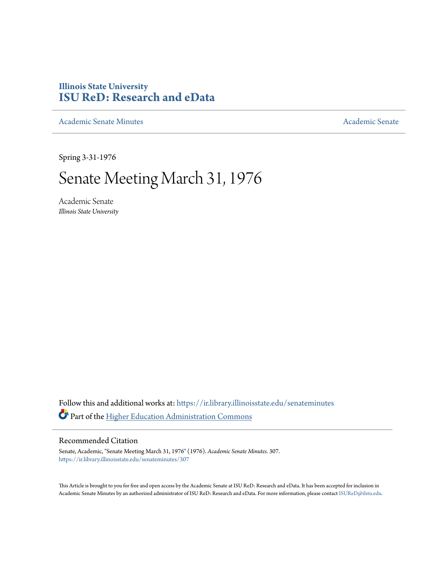## **Illinois State University [ISU ReD: Research and eData](https://ir.library.illinoisstate.edu?utm_source=ir.library.illinoisstate.edu%2Fsenateminutes%2F307&utm_medium=PDF&utm_campaign=PDFCoverPages)**

[Academic Senate Minutes](https://ir.library.illinoisstate.edu/senateminutes?utm_source=ir.library.illinoisstate.edu%2Fsenateminutes%2F307&utm_medium=PDF&utm_campaign=PDFCoverPages) [Academic Senate](https://ir.library.illinoisstate.edu/senate?utm_source=ir.library.illinoisstate.edu%2Fsenateminutes%2F307&utm_medium=PDF&utm_campaign=PDFCoverPages) Academic Senate

Spring 3-31-1976

# Senate Meeting March 31, 1976

Academic Senate *Illinois State University*

Follow this and additional works at: [https://ir.library.illinoisstate.edu/senateminutes](https://ir.library.illinoisstate.edu/senateminutes?utm_source=ir.library.illinoisstate.edu%2Fsenateminutes%2F307&utm_medium=PDF&utm_campaign=PDFCoverPages) Part of the [Higher Education Administration Commons](http://network.bepress.com/hgg/discipline/791?utm_source=ir.library.illinoisstate.edu%2Fsenateminutes%2F307&utm_medium=PDF&utm_campaign=PDFCoverPages)

### Recommended Citation

Senate, Academic, "Senate Meeting March 31, 1976" (1976). *Academic Senate Minutes*. 307. [https://ir.library.illinoisstate.edu/senateminutes/307](https://ir.library.illinoisstate.edu/senateminutes/307?utm_source=ir.library.illinoisstate.edu%2Fsenateminutes%2F307&utm_medium=PDF&utm_campaign=PDFCoverPages)

This Article is brought to you for free and open access by the Academic Senate at ISU ReD: Research and eData. It has been accepted for inclusion in Academic Senate Minutes by an authorized administrator of ISU ReD: Research and eData. For more information, please contact [ISUReD@ilstu.edu.](mailto:ISUReD@ilstu.edu)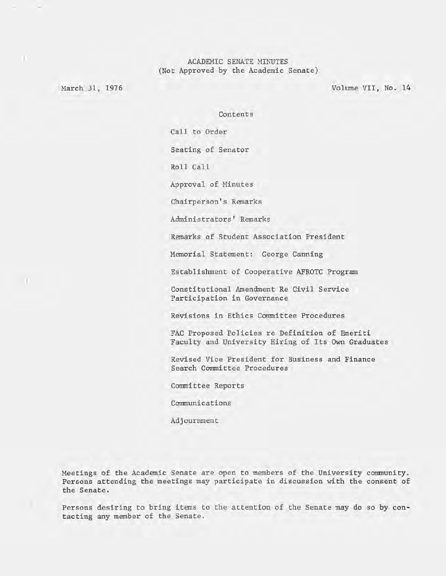#### ACADEMIC SENATE MINUTES (Not Approved by the Academic Senate)

March 31, 1976

)

Volume VII, No. 14

Contents

Call to Order

Seating of Senator

Roll Call

Approval of Minutes

Chairperson's Remarks

Administrators' Remarks

Remarks of Student Association President

Memorial Statement: George Canning

Establishment of Cooperative AFROTC Program

Constitutional Amendment Re Civil Service Participation in Governance

Revisions in Ethics Committee Procedures

FAC Proposed Policies re Definition of Emeriti Faculty and University Hiring of Its Own Graduates

Revised Vice President for Business and Finance Search Committee Procedures

Committee Reports

Communications

Adjournment

Meetings of the Academic Senate are open to members of the University community. Persons attending the meetings may participate in discussion with the consent of the Senate.

Persons desiring to bring items to the attention of the Senate may do so by contacting any member of the Senate.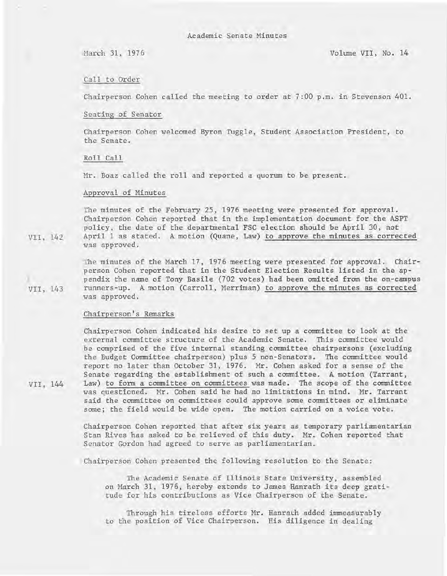#### Call to Order

Chairperson Cohen called the meeting to order at 7:00 p.m. in Stevenson 401.

#### Seating of Senator

Chairperson Cohen welcomed Byron Tuggle, Student Association President, to the Senate.

#### Roll Call

Mr. Boaz called the roll and reported a quorum to be present.

#### Approval of Minutes

The minutes of the February 25, 1976 meeting were presented for approval. Chairperson Cohen reported that in the implementation document for the ASPT policy, the date of the departmental FSC election should be April 30, not April 1 as stated. A motion (Quane, Law) to approve the minutes as corrected was approved.

The minutes of the March 17, 1976 meeting were presented for approval. Chairperson Cohen reported that in the Student Election Results listed in the appendix the name of Tony Basile (702 votes) had been omitted from the on-campus runners-up. A motion (Carroll, Merriman) to approve the minutes as corrected was approved.

#### Chairperson's Remarks

Chairperson Cohen indicated his desire to set up a committee to look at the external committee structure of the Academic Senate. This committee would be comprised of the five internal standing committee chairpersons (excluding the Budget Committee chairperson) plus 5 non-Senators. The committee would report no later than October 31, 1976. Mr. Cohen asked for a sense of the Senate regarding the establishment of such a committee. A motion (Tarrant, Law) to form a committee on committees was made. The scope of the committee was questioned. Mr. Cohen said he had no limitations in mind. Mr. Tarrant said the committee on committees could approve some committees or eliminate some; the field would be wide open. The motion carried on a voice vote.

Chairperson Cohen reported that after six years as temporary parliamentarian Stan Rives has asked to be relieved of this duty. Mr. Cohen reported that Senator Gordon had agreed to serve as parliamentarian.

Chairperson Cohen presented the following resolution to the Senate:

The Academic Senate of Illinois State University, assembled on March 31, 1976, hereby extends to James Hanrath its deep gratitude for his contributions as Vice Chairperson of the Senate.

Through his tireless efforts Mr. Hanrach added immeasurably to the position of Vice Chairperson. His diligence in dealing

VII, 143

VII, 142

VII, 144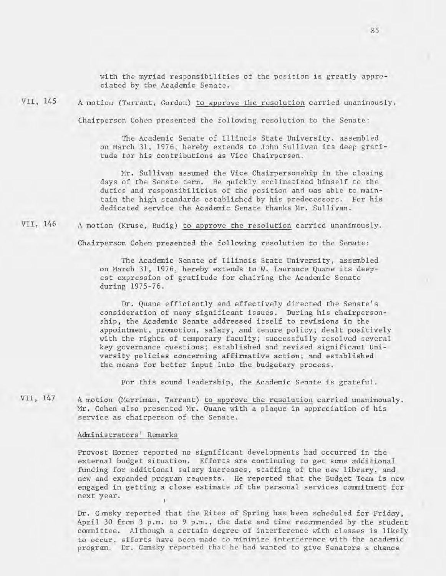with the myriad responsibilities of the position is greatly appreciated by the Academic Senate.

VII, 145

A motion (Tarrant, Gordon) to approve the resolution carried unanimously.

Chairperson Cohen presented the following resolution to the Senate:

The Academic Senate of Illinois State University, assembled on March 31, 1976, hereby extends to John Sullivan its deep gratitude for his contributions as Vice Chairperson.

Mr. Sullivan assumed the Vice Chairpersonship in the closing days of the Senate term. He quickly acclimatized himself to the duties and responsibilities of the position and was able to maintain the high standards established by his predecessors. For his dedicated service the Academic Senate thanks Mr. Sullivan.

VII, 146 A motion (Kruse, Budig) to approve the resolution carried unanimously.

Chairperson Cohen presented the following resolution to the Senate:

The Academic Senate of Illinois State University, assembled on March 31, 1976, hereby extends to W. Laurance Quane its deepest expression of gratitude for chairing the Academic Senate during 1975-76.

Dr. Quane efficiently and effectively directed the Senate's consideration of many significant issues. During his chairpersonship, the Academic Senate addressed itself to revisions in the appointment, promotion, salary, and tenure policy; dealt positively with the rights of temporary faculty; successfully resolved several key governance questions; established and revised significant University policies concerning affirmative action; and established the means for better input into the budgetary process.

For this sound leadership, the Academic Senate is grateful.

VII, 147 A motion (Merriman, Tarrant) to approve the resolution carried unanimously. Mr. Cohen also presented Mr. Quane with a plaque in appreciation of his service as chairperson of the Senate.

#### Administrators' Remarks

Provost Horner reported no significant developments had occurred in the external budget situation. Efforts are continuing to get some additional funding for additional salary increases, staffing of the new library, and new and expanded program requests. He reported that the Budget Team is now engaged in getting a close estimate of the personal services commitment for next year.

Dr. Gimsky reported that the Rites of Spring has been scheduled for Friday, April 30 from 3 p.m. to 9 p.m., the date and time recommended by the student committee. Although a certain degree of interference with classes is likely to occur, efforts have been made to minimize interference with the academic program. Dr. Gamsky reported that he had wanted to give Senators a chance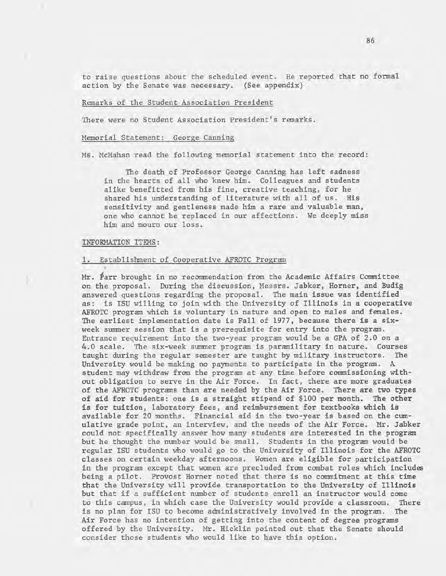to raise questions about the scheduled event. He reported that no formal action by the Senate was necessary. (See appendix)

#### Remarks of the Student Association President

There were no Student Association President's remarks.

#### Memorial Statement: George Canning

Ms. McMahan read the following memorial statement into the record:

The death of Professor George Canning has left sadness in the hearts of all who knew him. Colleagues and students alike benefitted from his fine, creative teaching, for he shared his understanding of literature with all of us. His sensitivity and gentleness made him a rare and valuable man, one who cannot be replaced in our affections. We deeply miss him and mourn our loss.

#### INFORMATION ITEMS:

#### 1. Establishment of Cooperative AFROTC Program

Mr. Parr brought in no recommendation from the Academic Affairs Committee on the proposal. During the discussion, Messrs. Jabker, Horner, and Budig answered questions regarding the proposal. The main issue was identified as: is ISU willing to join with the University of Illinois in a cooperative AFROTC program which is voluntary in nature and open to males and females. The earliest implementation date is Fall of 1977, because there is a sixweek summer session that is a prerequisite for entry into the program. Entrance requirement into the two-year program would be a GPA of 2.0 on a 4.0 scale. The six-week summer program is paramilitary in nature. Courses taught during the regular semester are taught by military instructors. The University would be making no payments to participate in the program. A student may withdraw from the program at any time before commissioning without obligation to serve in the Air Force. In fact, there are more graduates of the AFROTC programs than are needed by the Air Force. There are two types of aid for students: one is a straight stipend of \$100 per month. The other is for tuition, laboratory fees, and reimbursement for textbooks which is available for 20 months. Financial aid in the two-year is based on the cumulative grade point, an interview, and the needs of the Air Force. Mr. Jabker could not specifically answer how many students are interested in the program but he thought the number would be small. Students in the program would be regular ISU students who would go to the University of Illinois for the AFROTC classes on certain weekday afternoons. Women are eligible for participation in the program except that women are precluded from combat roles which includes being a pilot. Provost Horner noted that there is no commitment at this time that the University will provide transportation to the University of Illinois but that if a sufficient number of students enroll an instructor would come to this campus, in which case the University would provide a classroom. There is no plan for ISU to become administratively involved in the program. The Air Force has no intention of getting into the content of degree programs offered by the University. Mr. Hicklin pointed out that the Senate should consider those students who would like to have this option.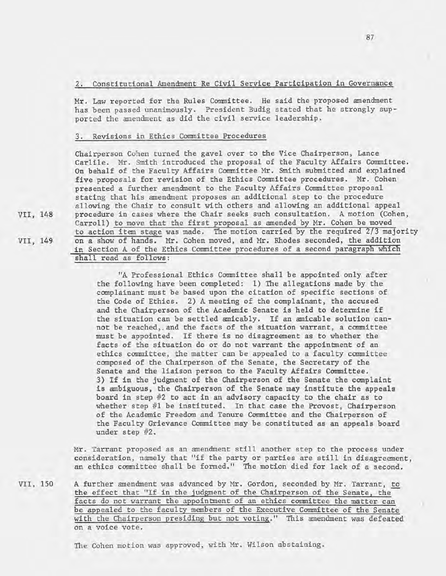### 2. Constitutional Amendment Re Civil Service Participation in Governance

Mr. Law reported for the Rules Committee. He said the proposed amendment has been passed unanimously. President Budig stated that he strongly supported the amendment as did the civil service leadership.

#### 3. Revisions in Ethics Committee Procedures

Chairperson Cohen turned the gavel over to the Vice Chairperson, Lance Carlile. Mr. Smith introduced the proposal of the Faculty Affairs Committee. On behalf of the Faculty Affairs Committee Mr. Smith submitted and explained five proposals for revision of the Ethics Committee procedures. Mr. Cohen presented a further amendment to the Faculty Affairs Committee proposal stating that his amendment proposes an additional step to the procedure allowing the Chair to consult with others and allowing an additional appeal procedure in cases where the Chair seeks such consultation. A motion (Cohen, Carroll) to move that the first proposal as amended by Mr. Cohen be moved to action item stage was made. The motion carried by the required 2/3 majority on a show of hands. Mr. Cohen moved, and Mr. Rhodes seconded, the addition in Section A of the Ethics Committee procedures of a second paragraph which shall read as follows:

"A Professional Ethics Committee shall be appointed only after the following have been completed: 1) The allegations made by the complainant must be based upon the citation of specific sections of the Code of Ethics. 2) A meeting of the complainant, the accused and the Chairperson of the Academic Senate is held to determine if the situation can be settled amicably. If an amicable solution cannot be reached, . and the facts of the situation warrant, a committee must be appointed. If there is no disagreement as to whether the facts of the situation do or do not warrant the appointment of an ethics committee, the matter can be appealed to a faculty committee composed of the Chairperson of the Senate, the Secretary of the Senate and the liaison person to the Faculty Affairs Committee. 3) If in the judgment of the Chairperson of the Senate the complaint is ambiguous, the Chairperson of the Senate may institute the appeals board in step #2 to act in an advisory capacity to the chair as to whether step #1 be instituted. In that case the Provost, Chairperson of the Academic Freedom and Tenure Committee and the Chairperson of the Faculty Grievance Committee may be constituted as an appeals board under step #2.

Mr. Tarrant proposed as an amendment still another step to the process under consideration, namely that "if the party or parties are still in disagreement, an ethics committee shall be formed." The motion died for lack of a second.

VII, 150 A further amendment was advanced by Mr. Gordon, seconded by Mr. Tarrant, to the effect that "If in the judgment of the Chairperson of the Senate, the facts do not warrant the appointment of an ethics committee the matter can be appealed to the faculty members of the Executive Committee of the Senate with the Chairperson presiding but not voting." This amendment was defeated on a voice vote.

The Cohen motion was approved, with Mr. Wilson abstaining.

VII, 148

VII, 149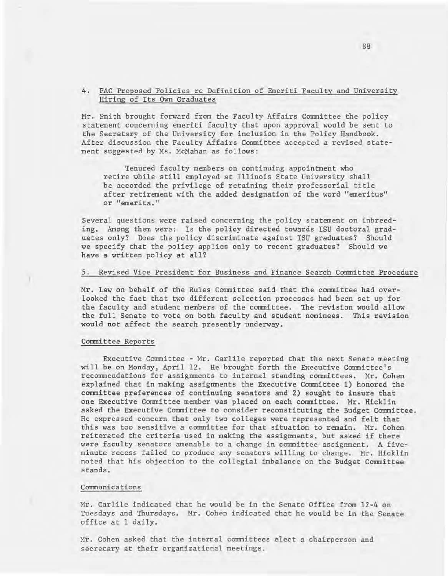#### 4. FAC Proposed Policies re Definition of Emeriti Faculty and University Hiring of Its Own Graduates

Mr. Smith brought forward from the Faculty Affairs Committee the policy statement concerning emeriti faculty that upon approval would be sent to the Secretary of the University for inclusion in the Policy Handbook. After discussion the Faculty Affairs Committee accepted a revised statement suggested by Ms. McMahan as follows:

Tenured faculty members on continuing appointment who retire while still employed at Illinois State University shall be accorded the privilege of retaining their professorial title after retirement with the added designation of the word "emeritus" or "emerita."

Several questions were raised concerning the policy statement on inbreeding. Among them were: Is the policy directed towards ISU doctoral graduates only? Does the policy discriminate against ISU graduates? Should we specify that the policy applies only to recent graduates? Should we have a written policy at all?

#### 5. Revised Vice President for Business and Finance Search Committee Procedure

Mr. Law on behalf of the Rules Committee said that the committee had overlooked the fact that two different selection processes had been set up for the faculty and student members of the committee. The revision would allow the full Senate to vote on both faculty and student nominees. This revision would not affect the search presently underway.

#### Committee Reports

Executive Committee - Mr. Carlile reported that the next Senate meeting will be on Monday, April 12. He brought forth the Executive Committee's recommendations for assignments to internal standing committees. Mr. Cohen explained that in making assignments the Executive Committee 1) honored the committee preferences of continuing senators and 2) sought to insure that one Executive Committee member was placed on each committee. Mr. Hicklin asked the Executive Committee to consider reconstituting the Budget Committee. He expressed concern that only two colleges were represented and felt that this was too sensitive a committee for that situation to remain. Mr. Cohen reiterated the criteria used in making the assignments, but asked if there were faculty senators amenable to a change in committee assignment. A fiveminute recess failed to produce any senators willing to change. Mr. Hicklin noted that his objection to the collegial imbalance on the Budget Committee stands.

#### Communications

Mr. Carlile indicated that he would be in the Senate Office from 12-4 on Tuesdays and Thursdays. Mr. Cohen indicated that he would be in the Senate office at 1 daily.

Mr. Cohen asked that the internal committees elect a chairperson and secretary at their organizational meetings.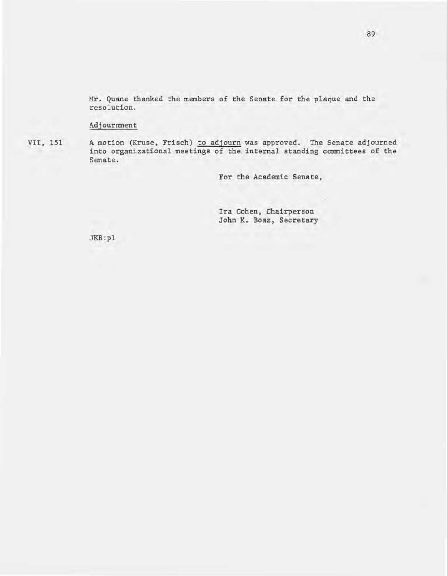Mr. Quane thanked the members of the Senate for the plaque and the resolution.

#### Adjournment

VII, 151 A motion (Kruse, Frisch) to adjourn was approved. The Senate adjourned into organizational meetings of the internal standing committees of the Senate .

For the Academic Senate,

Ira Cohen, Chairperson John K. Boaz, Secretary

JKB:pl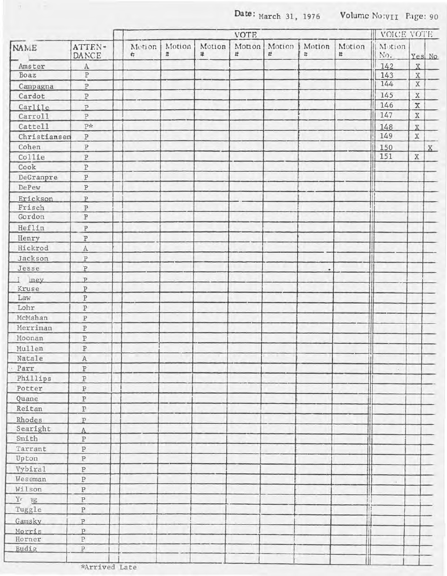Date: March 31, 1976 **Volume No:VII Page: 90** 

|              |                         | <b>VOTE</b> |             |             |             |             |                      |             | VOICE VOTE    |               |         |
|--------------|-------------------------|-------------|-------------|-------------|-------------|-------------|----------------------|-------------|---------------|---------------|---------|
| <b>NAME</b>  | ATTEN-<br>DANCE         | Motion<br>4 | Motion<br># | Motion<br># | Motion<br># | Motion<br># | Motion<br>$\ddot{v}$ | Motion<br># | Motion<br>No. |               | Yes No  |
| Amster       | $\mathbf{A}$            |             |             |             |             |             |                      |             | 142           | X             |         |
| Boaz         | $\overline{P}$          |             |             |             |             |             |                      |             | 143           | $\mathbf X$   |         |
| Campagna     | $\, {\bf P}$            |             |             |             |             |             |                      |             | 144           | $\mathbf X$   |         |
| Cardot       | $\, {\bf P}$            |             |             |             |             |             |                      |             | 145           | $\mathbf X$   |         |
| Carlile      | $\overline{P}$          |             |             |             |             |             |                      |             | 146           | $\mathbbm{X}$ |         |
| Carrol1      | $\, {\bf p}$            |             |             |             |             |             |                      |             | 147           | $\rm X$       |         |
| Cattel1      | P∗                      |             |             |             |             |             |                      |             | 148           | $\bar{X}$     |         |
| Christiansen | $\, {\bf p}$            |             |             |             |             |             |                      |             | 149           | $\mathbf X$   |         |
| Cohen        | $\, {\bf p}$            |             |             |             |             |             |                      |             | 150           |               | $X_{-}$ |
| Collie       | $\, {\bf P}$            |             |             |             |             |             |                      |             | 151           | $\mathbf X$   |         |
| Cook         | $\, {\bf P}$            |             |             |             |             |             |                      |             |               |               |         |
| DeGranpre    | $\, {\bf P}$            |             |             |             |             |             |                      |             |               |               |         |
| DePew        | $\, {\bf p}$            |             |             |             |             |             |                      |             |               |               |         |
| Erickson     | $\overline{P}$          |             |             |             |             |             |                      |             |               |               |         |
| Frisch       | $\, {\bf P}$            |             |             |             |             |             |                      |             |               |               |         |
| Gordon       | $\, {\bf p}$            |             |             |             |             |             |                      |             |               |               |         |
| Heflin       | $\, {\bf P}$            |             |             |             |             |             |                      |             |               |               |         |
| Henry        | $\, {\mathbb P}$        |             |             |             |             |             |                      |             |               |               |         |
| Hickrod      | $\overline{A}$          |             |             |             |             |             |                      |             |               |               |         |
| Jackson      | $\, {\bf P}$            |             |             |             |             |             |                      |             |               |               |         |
| Jesse        | $\, {\bf p}$            |             |             |             |             |             | ٠                    |             |               |               |         |
| ney          | $\overline{P}$          |             |             |             |             |             |                      |             |               |               |         |
| Kruse        | $\, {\bf P}$            |             |             |             |             |             |                      |             |               |               |         |
| Law          | $\, {\bf p}$            |             |             |             |             |             |                      |             |               |               |         |
| Lohr         | $\, {\bf P}$            |             |             |             |             |             |                      |             |               |               |         |
| McMahan      | $\, {\bf p}$            |             |             |             |             |             |                      |             |               |               |         |
| Merriman     | ${\bf P}$               |             |             |             |             |             |                      |             |               |               |         |
| Moonan       | $\, {\bf P}$            |             |             |             |             |             |                      |             |               |               |         |
| Mullen       | $\, {\bf P}$            |             |             |             |             |             |                      |             |               |               |         |
| Natale       | $\mathbf{A}$            |             |             |             |             |             |                      |             |               |               |         |
| Parr         | $\, {\bf p}$            |             |             |             |             |             |                      |             | ×             |               |         |
| Phillips     | $\overline{\mathbf{P}}$ |             |             |             |             |             |                      |             |               |               |         |
| Potter       | $\, {\bf P}$            |             |             |             |             |             |                      |             |               |               |         |
| Quane        | $\, {\mathbb P}$        |             |             |             |             |             |                      |             |               |               |         |
| Reitan       | $\, {\bf p}$            |             |             |             |             |             |                      |             |               |               |         |
| Rhodes       | $\overline{P}$          |             |             |             |             |             |                      |             |               |               |         |
| Searight     | A                       |             |             |             |             |             |                      |             |               |               |         |
| Smith        | $\, {\bf P}$            |             |             |             |             |             |                      |             |               |               |         |
| Tarrant      | $\, {\bf P}$            |             |             |             |             |             |                      |             |               |               |         |
| Upton        | $\, {\bf p}$            |             |             |             |             |             |                      |             |               |               |         |
| Vybiral      | $\, {\bf P}$            |             |             |             |             |             |                      |             |               |               |         |
| Weseman      | $\, {\bf P}$            |             |             |             |             |             |                      |             |               |               |         |
| Wilson       | $\, {\bf P}$            |             |             |             |             |             |                      |             |               |               |         |
| $Yr$ 1g      | $\, {\bf P}$            |             |             |             |             |             |                      |             |               |               |         |
| Tuggle       | $\, {\bf p}$            |             |             |             |             |             |                      |             |               |               |         |
| Gamsky       | $\mathbf{P}$            |             |             |             |             |             |                      |             |               |               |         |
| Morris       | $\overline{P}$          |             |             |             |             |             |                      |             |               |               |         |
| Horner       | $\rm P$                 |             |             |             |             |             |                      |             |               |               |         |
| Budig        | $\, {\bf P}$            |             |             |             |             |             |                      |             |               |               |         |
|              |                         |             |             |             |             |             |                      |             |               |               |         |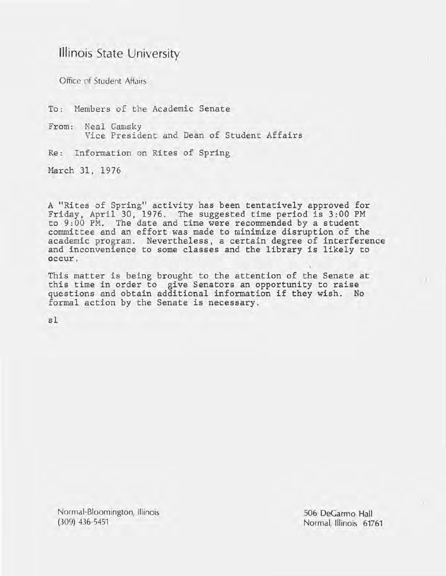# **Illinois** State University

Office of Student Affairs

To: Members of the Academic Senate

From: Neal Gamsky Vice President and Dean of Student Affairs

Re: Information on Rites of Spring

March 31, 1976

A "Rites of Spring" activity has been tentatively approved for Friday, April 30, 1976. The suggested time period is 3:00 PM to 9:00 PM. The date and time were recommended by a student committee and an effort was made to minimize disruption of the academic program. Nevertheless, a certain degree of interference and inconvenience to some classes and the library is likely to occur.

This matter is being brought to the attention of the Senate at this time in order to give Senators an opportunity to raise questions and obtain additional information if they wish. No formal action by the Senate is necessary.

sl

Normal-Bloomington, Illinois (309) 436-5451

506 DeGarmo Hall Normal, Illinois 61761